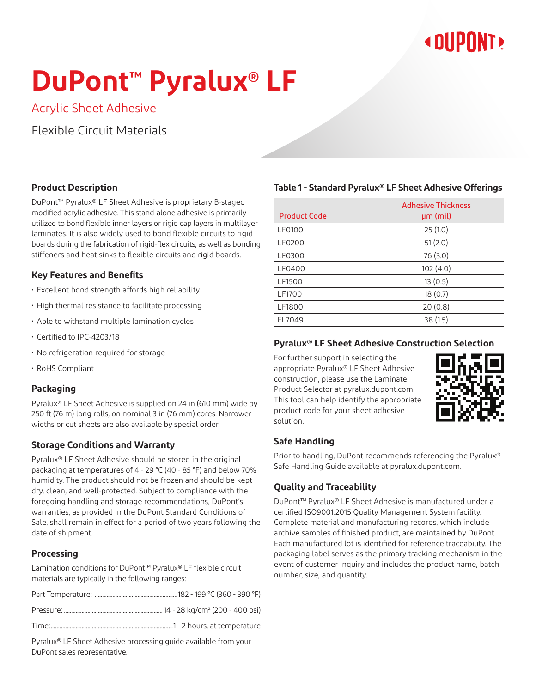## **« DIIPNNT»**

# **DuPont™ Pyralux® LF**

Acrylic Sheet Adhesive

Flexible Circuit Materials

#### **Product Description**

DuPont™ Pyralux® LF Sheet Adhesive is proprietary B-staged modified acrylic adhesive. This stand-alone adhesive is primarily utilized to bond flexible inner layers or rigid cap layers in multilayer laminates. It is also widely used to bond flexible circuits to rigid boards during the fabrication of rigid-flex circuits, as well as bonding stiffeners and heat sinks to flexible circuits and rigid boards.

#### **Key Features and Benefits**

- Excellent bond strength affords high reliability
- High thermal resistance to facilitate processing
- Able to withstand multiple lamination cycles
- Certified to IPC-4203/18
- No refrigeration required for storage
- RoHS Compliant

#### **Packaging**

Pyralux® LF Sheet Adhesive is supplied on 24 in (610 mm) wide by 250 ft (76 m) long rolls, on nominal 3 in (76 mm) cores. Narrower widths or cut sheets are also available by special order.

#### **Storage Conditions and Warranty**

Pyralux® LF Sheet Adhesive should be stored in the original packaging at temperatures of 4 - 29 °C (40 - 85 °F) and below 70% humidity. The product should not be frozen and should be kept dry, clean, and well-protected. Subject to compliance with the foregoing handling and storage recommendations, DuPont's warranties, as provided in the DuPont Standard Conditions of Sale, shall remain in effect for a period of two years following the date of shipment.

#### **Processing**

Lamination conditions for DuPont™ Pyralux® LF flexible circuit materials are typically in the following ranges:

Pyralux® LF Sheet Adhesive processing guide available from your DuPont sales representative.

#### **Table 1 - Standard Pyralux® LF Sheet Adhesive Offerings**

| <b>Product Code</b> | <b>Adhesive Thickness</b><br>$µm$ (mil) |  |
|---------------------|-----------------------------------------|--|
| <b>LF0100</b>       | 25(1.0)                                 |  |
| LF0200              | 51(2.0)                                 |  |
| LF0300              | 76 (3.0)                                |  |
| LF0400              | 102(4.0)                                |  |
| LF1500              | 13(0.5)                                 |  |
| LF1700              | 18(0.7)                                 |  |
| LF1800              | 20(0.8)                                 |  |
| FL7049              | 38 (1.5)                                |  |

#### **Pyralux® LF Sheet Adhesive Construction Selection**

For further support in selecting the appropriate Pyralux® LF Sheet Adhesive construction, please use the Laminate Product Selector at pyralux.dupont.com. This tool can help identify the appropriate product code for your sheet adhesive solution.



#### **Safe Handling**

Prior to handling, DuPont recommends referencing the Pyralux® Safe Handling Guide available at pyralux.dupont.com.

#### **Quality and Traceability**

DuPont™ Pyralux® LF Sheet Adhesive is manufactured under a certified ISO9001:2015 Quality Management System facility. Complete material and manufacturing records, which include archive samples of finished product, are maintained by DuPont. Each manufactured lot is identified for reference traceability. The packaging label serves as the primary tracking mechanism in the event of customer inquiry and includes the product name, batch number, size, and quantity.